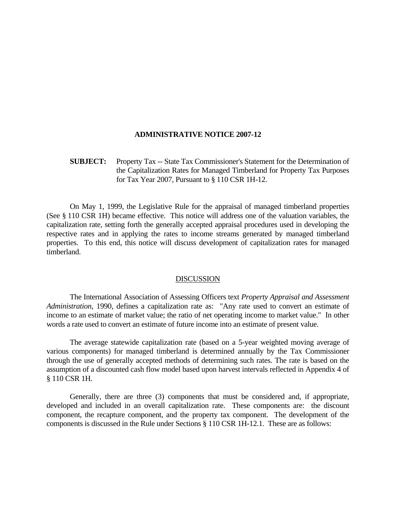### **ADMINISTRATIVE NOTICE 2007-12**

# **SUBJECT:** Property Tax -- State Tax Commissioner's Statement for the Determination of the Capitalization Rates for Managed Timberland for Property Tax Purposes for Tax Year 2007, Pursuant to § 110 CSR 1H-12.

 On May 1, 1999, the Legislative Rule for the appraisal of managed timberland properties (See § 110 CSR 1H) became effective. This notice will address one of the valuation variables, the capitalization rate, setting forth the generally accepted appraisal procedures used in developing the respective rates and in applying the rates to income streams generated by managed timberland properties. To this end, this notice will discuss development of capitalization rates for managed timberland.

#### DISCUSSION

 The International Association of Assessing Officers text *Property Appraisal and Assessment Administration,* 1990, defines a capitalization rate as: "Any rate used to convert an estimate of income to an estimate of market value; the ratio of net operating income to market value." In other words a rate used to convert an estimate of future income into an estimate of present value.

 The average statewide capitalization rate (based on a 5-year weighted moving average of various components) for managed timberland is determined annually by the Tax Commissioner through the use of generally accepted methods of determining such rates. The rate is based on the assumption of a discounted cash flow model based upon harvest intervals reflected in Appendix 4 of § 110 CSR 1H.

 Generally, there are three (3) components that must be considered and, if appropriate, developed and included in an overall capitalization rate. These components are: the discount component, the recapture component, and the property tax component. The development of the components is discussed in the Rule under Sections § 110 CSR 1H-12.1. These are as follows: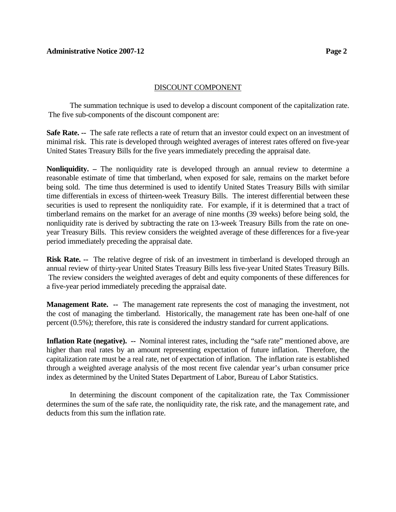# DISCOUNT COMPONENT

 The summation technique is used to develop a discount component of the capitalization rate. The five sub-components of the discount component are:

**Safe Rate. --** The safe rate reflects a rate of return that an investor could expect on an investment of minimal risk. This rate is developed through weighted averages of interest rates offered on five-year United States Treasury Bills for the five years immediately preceding the appraisal date.

**Nonliquidity.** – The nonliquidity rate is developed through an annual review to determine a reasonable estimate of time that timberland, when exposed for sale, remains on the market before being sold. The time thus determined is used to identify United States Treasury Bills with similar time differentials in excess of thirteen-week Treasury Bills. The interest differential between these securities is used to represent the nonliquidity rate. For example, if it is determined that a tract of timberland remains on the market for an average of nine months (39 weeks) before being sold, the nonliquidity rate is derived by subtracting the rate on 13-week Treasury Bills from the rate on oneyear Treasury Bills. This review considers the weighted average of these differences for a five-year period immediately preceding the appraisal date.

**Risk Rate. --** The relative degree of risk of an investment in timberland is developed through an annual review of thirty-year United States Treasury Bills less five-year United States Treasury Bills. The review considers the weighted averages of debt and equity components of these differences for a five-year period immediately preceding the appraisal date.

**Management Rate. --** The management rate represents the cost of managing the investment, not the cost of managing the timberland. Historically, the management rate has been one-half of one percent (0.5%); therefore, this rate is considered the industry standard for current applications.

**Inflation Rate (negative). --** Nominal interest rates, including the "safe rate" mentioned above, are higher than real rates by an amount representing expectation of future inflation. Therefore, the capitalization rate must be a real rate, net of expectation of inflation. The inflation rate is established through a weighted average analysis of the most recent five calendar year's urban consumer price index as determined by the United States Department of Labor, Bureau of Labor Statistics.

In determining the discount component of the capitalization rate, the Tax Commissioner determines the sum of the safe rate, the nonliquidity rate, the risk rate, and the management rate, and deducts from this sum the inflation rate.